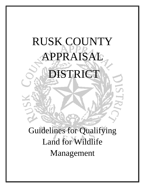# RUSK COUNTY APPRAISAL

DISTRICT

Guidelines for Qualifying Land for Wildlife Management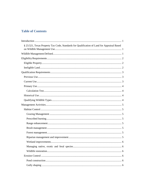# **Table of Contents**

| § 23.521, Texas Property Tax Code, Standards for Qualification of Land for Appraisal Based |
|--------------------------------------------------------------------------------------------|
|                                                                                            |
|                                                                                            |
|                                                                                            |
|                                                                                            |
|                                                                                            |
|                                                                                            |
|                                                                                            |
|                                                                                            |
|                                                                                            |
|                                                                                            |
|                                                                                            |
|                                                                                            |
|                                                                                            |
|                                                                                            |
|                                                                                            |
|                                                                                            |
|                                                                                            |
|                                                                                            |
|                                                                                            |
|                                                                                            |
|                                                                                            |
|                                                                                            |
|                                                                                            |
|                                                                                            |
|                                                                                            |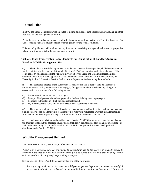# <span id="page-4-0"></span>**Introduction**

In 1995, the Texas Constitution was amended to permit open space land valuation on qualifying land that was used for the management of wildlife.

As is the case for other open space land valuations authorized by Section 23.51 of the Property Tax Code, specific standards must be met in order to qualify for the special valuation.

This set of guidelines will outline the requirement for receiving the special valuation on properties where the primary use is for the management of wildlife.

## <span id="page-4-1"></span>**§ 23.521, Texas Property Tax Code, Standards for Qualification of Land for Appraisal Based on Wildlife Management Use.**

(a) The Parks and Wildlife Department, with the assistance of the comptroller, shall develop standards for determining whether land qualifies under Section 23.51(7) for appraisal under this subchapter. The comptroller by rule shall adopt the standards developed by the Parks and Wildlife Department and distribute those rules to each appraisal district. On request of the Parks and Wildlife Department, the Texas Agricultural Extension Service shall assist the department in developing the standards.

(b) The standards adopted under Subsection (a) may require that a tract of land be a specified minimum size to qualify under Section  $23.51(7)(A)$  for appraisal under this subchapter, taking into consideration one or more of the following factors:

- (1) the activities listed in Section 23.51(7)(A);
- (2) the type of indigenous wild animal population the land is being used to propagate;
- (3) the region in this state in which the land is located; and
- (4) any other factor the Parks and Wildlife Department determines is relevant.

(c) The standards adopted under Subsection (a) may include specifications for a written management plan to be developed by a landowner if the landowner receives a request for a written management plan from a chief appraiser as part of a request for additional information under Section 23.57.

(d) In determining whether land qualifies under Section 23.51(7) for appraisal under this subchapter, the chief appraiser and the appraisal review board shall apply the standards adopted under Subsection (a) and, to the extent they do not conflict with those standards, the appraisal manuals developed and distributed under Section 23.52(d).

# <span id="page-4-2"></span>**Wildlife Management Defined**

Tax Code Section 23.51(1) defines Qualified Open-Space Land as:

*"Land that is currently devoted principally to agricultural use to the degree of intensity generally accepted in the area and has been devoted principally to agriculture use or to production of timber or forest products for at five of the preceding seven years…."*

Section 23.51(7) defines Wildlife Management as one of the following:

*1. Actively using land that at the time the wildlife-management began was appraised as qualified open-space land under this subchapter or as qualified timber land under Subchapter E in at least*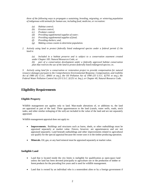*three of the following ways to propagate a sustaining, breeding, migrating, or wintering population of indigenous wild animals for human use, including food, medicine, or recreation:*

- *(a) Habitat control;*
- *(b) Erosion control;*
- *(c) Predator control;*
- *(d) Providing supplementalsupplies of water;*
- *(e) Providing supplementalsupplies of food;*
- *(f) Providing shelters; and,*
- *(g) Making census counts to determine population.*
- *2. Actively using land to protect federally listed endangered species under a federal permit if t he land is:*

*(a) Included in a habitat preserve and is subject to a conservation easement created under Chapter 183. Natural Resources Code; or (b) part of a conservation development under a federally approved habitat conservation plan that restricts the use of the land to protect federally listed endangered species; or,*

*3. Actively using land for a conservation or restoration project to provide compensation for natural resource damages pursuant to the Comprehensive Environmental Response, Compensation, and Liability Act of 1980 (42 U.S.C. §9601 et seq.), the Oil Pollution Act of 1990 (33 U.S.C. §2701 et seq.), the Federal Water Pollution Control Act (33 U.S.C. §1251 et. Seq.), or Chapter 40, Natural Resource Code.*

# <span id="page-5-0"></span>**Eligibility Requirements**

## <span id="page-5-1"></span>**Eligible Property**

Wildlife management use applies only to land. Man-made alterations of, or additions to, the land are appraised as part of the land. These appurtenances to the land (canals, water wells, roads, stock tanks, and other similar reshaping of the soil) are included in the value of the land and are not separately appraised.

Wildlife management appraisal does not apply to:

- **Improvements.** Buildings and structures such as barns, sheds, or other outbuildings must be appraised separately at market value. Fences, however, are appurtenances and are not appraised separately. Land beneath outbuildings and other improvements related to agricultural use qualify for the special appraisal because the owner uses it in the timber producing operation.
- **Minerals.** Oil, gas, or any hard mineral must be appraised separately at market value.

## <span id="page-5-2"></span>**Ineligible Land**

- Land that is located inside the city limits is ineligible for qualification as open-space land unless the land has been devoted principally to agriculture use or the production of timber or forest products for the preceding five years and is used for wildlife management.
- Land that is owned by an individual who is a nonresident alien or by a foreign government if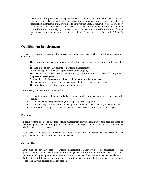that individual or government is required by federal law or by rule adopted pursuant to federal law to register his ownership or acquisition of that property; or the land is owned by a corporation, partnership, trust, or other legal entity if that entity is required by federal law or by rule adopted pursuant to federal law to register its ownership or acquisition of that land and a nonresident alien or a foreign government or any combination of nonresident aliens and foreign governments own a majority interest in the entity. Texas Property Tax Code §23.56 & §23.77.

# <span id="page-6-0"></span>**Qualification Requirements**

To qualify for wildlife management appraisal, landowners must meet each of the following eligibility requirements:

- The land must have been appraised as qualified open-space land or timberland in the preceding year,
- The land must be currently devoted to a wildlife management use,
- Wildlife management must be the primary use of the property,
- The land must have been used principally for agriculture or timber production for any five of the preceding seven years,
- A population of indigenous wild animals for human use must be propagated,
- Management practices must be performed to typical intensity standards of the area,
- The property owner must file a valid application form.

Additionally, applicants must be aware that:

- Agricultural appraisal applies to the land and not to other property that may be connected with the land.
- Land owned by a foreigner is ineligible for open-space use appraisal;
- Land inside city limits has more stringent qualification requirements and may be ineligible; and,
- A "rollback" tax may be assessed against the property when the property's use is changed.

## <span id="page-6-1"></span>**Previous Use**

In order for land to be considered for wildlife management use valuation, it must have been appraised as qualified open-space land for agricultural or timberland purposes in the preceding year before the wildlife management use started.

Even when land meets all other qualifications for this use, it cannot be considered for the special valuation if this requirement has not been met.

## <span id="page-6-2"></span>**Current Use**

Land must be currently used for wildlife management on January 1 to be considered for the special valuation. In the event that wildlife management use is not evident on January 1, the chief appraiser should grant productivity valuation if the owner can show evidence that he intends to put the land into wildlife management use and that wildlife management will be the primary use for the bulk of the calendar year covered by the application.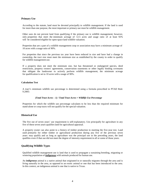### <span id="page-7-0"></span>**Primary Use**

According to the statute, land must be devoted principally to wildlife management. If the land is used for more than one purpose, the most important or primary use must be wildlife management.

Other uses do not prevent land from qualifying if the primary use is wildlife management; however, only properties that meet the minimum acreage of 12.5 acres and usage ratio of at least 92% will be considered eligible for open-space land wildlife valuation.

Properties that are a part of a wildlife management coop or association may have a minimum acreage of 10 acres with a usage ratio of 90%.

For properties that since the previous tax year have been reduced in size and have had a change in ownership, the tract size must meet the minimum size as established by the county in order to qualify for wildlife management use.

If a property does not meet the minimum size, but has threatened or endangered species, deed restrictions, property owners' agreements, conservation easements or other legally binding covenants that obligate the landowner to actively perform wildlife management, the minimum acreage for qualification is set to 10 acres with a usage of 90%.

### <span id="page-7-1"></span>**Calculation Test**

A tract's minimum wildlife use percentage is determined using a formula prescribed in PTAD Rule 9.2005:

#### *(Total Tract Acres – 1) / Total Tract Acres = Wildlife Use Percentage*

Properties for which the wildlife use percentage calculates to be less than the required minimum for stand-alone or coop tracts will not qualify for the special valuation.

## <span id="page-7-2"></span>**Historical Use**

The five out of seven years' use requirement is self-explanatory. Use principally for agriculture in any five of these seven years qualifies land for agricultural appraisal.

A property owner can also point to a history of timber production in meeting the five-year test. Land used primarily for either timber or agricultural production during any five of the previous seven years may qualify and as long as agriculture was the principal use in the preceding years, the land qualifies even if that use did not meet the degree of intensity requirement in all or some of those years.

## <span id="page-7-3"></span>**Qualifying Wildlife Types**

Qualified wildlife management use is land that is used to propagate a sustaining breeding, migrating or wintering population of *indigenous* wild animals produced for human use.

An *indigenous* animal is a native animal that originated in or naturally migrates through the area and is living naturally in the area, as opposed to an exotic animal or one that has been introduced to the area. In this context, an indigenous animal is one that is native to Texas.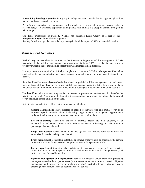A *sustaining breeding population* is a group in indigenous wild animals that is large enough to live independently over several generations.

A migrating population of indigenous wild animals is a group of animals moving between seasonal ranges. A wintering population of indigenous wild animals is a group of animals living on its winter range.

The Texas Department of Parks & Wildlife has classified Rusk County as a part of the **Pineywoods Region** for wildlife management.

<span id="page-8-0"></span>See http://tpwd.texas.gov/landwater/land/private/agricultural\_land/pwood2010/ for more information.

## **Management Activities**

Rusk County has been classified as a part of the Pineywoods Region for wildlife management. RCAD has adopted the wildlife management plan requirements from TPWD as the standard by which property owners in the county should perform their wildlife management practices.

Property owners are required to initially complete and submit a Wildlife Management Plan when applying for the special valuation and maybe required to annually report the progress of that plan to the district.

State law identifies seven classes of activities related to qualified wildlife management. A land owner must perform at least three of the seven wildlife management activities listed below on the land. An owner may qualify by dong more than three, but may not engage in fewer than three of the activities.

<span id="page-8-1"></span>**Habitat Control** - involves using the land to create or promote an environment that benefits the wildlife on the land. A wild animal's habitat is its surroundings as a whole, including plants, ground cover, shelter, and other animals on the land.

<span id="page-8-2"></span>Activities that contribute to habitat control or management include:

**Grazing Management** where livestock is rotated to increase food and animal cover or to improve a specific animal's habitat. Deferred grazing can last up to two years. Appropriately designed fencing can play an important role in grazing rotation plans.

<span id="page-8-3"></span>**Prescribed burning** where fires are set to improve habitat and plant diversity, or to increase food and cover. Plans should indicate frequency of burnings and the minimum percentage of acreage burned.

<span id="page-8-4"></span>**Range enhancement** where native plants and grasses that provide food for wildlife are established for food or to help control erosion.

<span id="page-8-5"></span>**Brush management** to maintain, establish, or remove woody plants to encourage the growth of desirable ones for forage, nesting, and protective cover for specific wildlife.

<span id="page-8-6"></span>**Forest management** involving the establishment, maintenance, harvesting, and selective removal of trees or woody species to allow growth of desirable ones for forage, nesting, and protective cover for specific wildlife.

<span id="page-8-7"></span>**Riparian management and improvement** focuses on annually and/or seasonally protecting the vegetation and soils in riparian areas (low areas on either side of stream course). Riparian management and improvements can include providing livestock alternate watering sites, or deferring livestock from access to riparian areas for periods.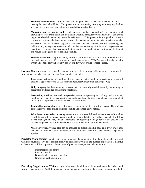<span id="page-9-0"></span>**Wetland improvements** provide seasonal or permanent water for roosting, feeding or nesting for wetland wildlife. This practice involves creating, restoring, or managing shallow wetland, green tree reservoirs, playa lakes and other moist soil sites.

<span id="page-9-1"></span>**Managing native, exotic and feral species** involves controlling the grazing and browsing pressure from native and non-native wildlife, particularly white-tailed deer and exotic ungulates (hoofed mammals), example axis deer. This practice is designed to prevent overuse of desirable plant species and improve the habitat and plant diversity for native animals.

To ensure that an owner's objectives are met and the animals are not exceeding the habitat's carrying capacity, owners should monitor the harvesting of animals and vegetation use over time. Owners also may control other exotic and feral animals to improve the habitat and reduce the negative effect of native wildlife.

<span id="page-9-2"></span>**Wildlife restoration** simply means 1) restoring and improving a habitat to good condition for targeted species and 2) reintroducing and managing a TPWD-approved native species within a habitat's carrying capacity as part of a TPWD-approved restoration area.

<span id="page-9-4"></span><span id="page-9-3"></span>**Erosion Control -** Any active practice that attempts to reduce or keep soil erosion to a minimum for wild animals' benefit is erosion control. Some practices include:

**Pond construction** is the building of a permanent water pond to prevent, stop or control erosion as approved by the USDA's Natural Resources Conservation Service (NRCS).

<span id="page-9-5"></span>**Gully shaping** involves reducing erosion rates on severely eroded areas by smoothing to acceptable grades and re-establishing vegetation.

<span id="page-9-6"></span>**Streamside, pond and wetland revegetation** means revegetating areas along creeks, streams, pond and wetlands to reduce erosion and sedimentation, stabilize streambanks, improve plant diversity and improve the wildlife value of sensitive areas.

<span id="page-9-7"></span>**Establishing native plants** on critical areas is one method of controlling erosion. These plants also can provide food and/or cover for wildlife and restore native habitat.

<span id="page-9-8"></span>**Dike, levee construction or management** is a way to establish and maintain wetlands or slow runoff to control or prevent erosion and to provide habitat for wetland-dependent wildlife. Levee management may include reshaping or repairing damage caused by erosion and revegetating levee areas to reduce erosion and sedimentation and stabilize levees.

<span id="page-9-9"></span>**Water diversion systems** also can be installed to protect erodible soils and divert water into wetlands to provide habitat for resident and migratory water birds and wetland- dependent species.

<span id="page-9-10"></span>**Predator Management –** practices intended to manage the population of predators to benefit the target wildlife population. Predator control usually is not necessary unless the number of predators is harmful to the desired wildlife population. Some types of predator management and control are:

> Mammal predator control Fire ant control Brown-headed cowbird control, and Grackle or starling control.

<span id="page-9-11"></span>**Providing Supplemental Water** – is providing water in addition to the natural water that exists in all wildlife environments. Wildlife water developments are in addition to those sources already available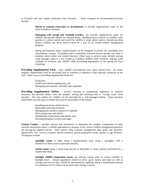<span id="page-10-0"></span>to livestock and may require protection from livestock. Some examples of recommended practices include:

> **Marsh or wetland restoration or development** to provide supplemental water in the form of shallow wetlands.

> <span id="page-10-1"></span>**Managing well, trough and windmill overflow** can provide supplemental water for wildlife and provide habitat for wetland plants. Building devices known as wildlife water guzzlers to collect rainfall and runoff for wildlife in areas where water is limited also help protect wildlife, but these devices must be a part of an overall habitat management program.

> Spring development and/or improvements can be designed to protect the immediate area surrounding a spring. Excluding and/or controlling livestock around springs may help to maintain native plants and animal diversity. Other ways to protect areas include moving water through a pipe to a low trough or a shallow wildlife water overflow, making water available to livestock and wildlife while preventing degradation of the spring are from trampling.

<span id="page-10-2"></span>**Providing Supplemental Food –** most wildlife environments have some natural food. An owner supplies supplemental food by providing food or nutrition in addition to that naturally produced on the land. Some ways of providing supplemental foods are:

> Food plots Feeder and mineral supplements, and Managing tame pasture, old fields and croplands.

<span id="page-10-3"></span>**Providing Supplemental Shelter** – actively creating or maintaining vegetation or artificial structures that provide shelter from the weather, nesting and breeding sites or "escape cover" from enemies. The best shelter for wildlife can be provided by a well-managed habitat. Some practices listed below provide types of shelter that may be unavailable in the habitat:

> Installing nest boxes and bat boxes; Brush piles and slash retention; Managing hay meadow, pasture or cropland; Half-cutting trees and shrubs; Establishing woody plants and shrubs; and, Developing natural cavities and snags.

<span id="page-10-4"></span>**Census Counts –** periodic surveys and inventories to determine the number, composition or other relevant information about a wildlife population to measure if the current wildlife management practices are serving the targeted species. Such surveys help evaluate management plan goals and practices. Specifically, this activity estimates species numbers, annual population trends, density or age structure. Techniques include:

> <span id="page-10-5"></span>**Spotlight counts** at night along a predetermined route using a spotlights, with a minimum of three counts conducted annually.

> <span id="page-10-6"></span>**Aerial counts** using a fixed-wing aircraft or helicopter to count animals performed by a trained individual.

> <span id="page-10-7"></span>**Daylight wildlife composition counts** are driving counts used to census wildlife in daylight hours. Annual population trends on dove, quail, turkey and deer, as well as sex/age structure on deer, should be determined by sightings along a standardized transect of a minimum of five miles at least three times during a season.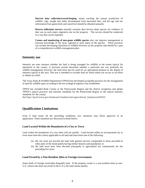<span id="page-11-0"></span>**Harvest data collection/record-keeping** means tracking the annual production of wildlife. Age, weight and antler development from harvested deer, and the age and sex information from game birds and waterfowl should be obtained annually.

<span id="page-11-1"></span>**Browse utilization surveys** annually examine deer browse plant species for evidence of deer use on each major vegetative site on the property. The surveys should be conducted in a way that can be repeated.

<span id="page-11-2"></span>**Census and monitoring of non-game wildlife species** also can improve management or increase knowledge of the local, regional or state status of the species. These practices can include developing checklists of wildlife diversity on the property and should be a part of a comprehensive wildlife management plan.

## <span id="page-11-3"></span>**Intensity use**

Intensity use tests measure whether the land is being managed for wildlife to the extent typical for operations in the county. A previous section described whether a particular use was primarily for wildlife management; however, the land must also be used for an agricultural purpose to the degree of intensity typical in the area. This test is intended to exclude land on which token use occurs in an effort to obtain tax relief.

The Texas Parks & Wildlife Department (TPWD) has developed acceptable practices for the management of specific wildlife types according to the ten ecological regions it has established.

TPWD has included Rusk County in the Pineywoods Region and the district recognizes and adopts TPWD's typical practices and intensity standards for the Pineywoods Region as the typical intensity standards for the county.

<span id="page-11-4"></span>See http://tpwd.texas.gov/landwater/land/private/agricultural\_land/pwood2010/

# **Qualification Limitations**

Even if land meets all the preceding conditions, two situations may block approval of an application. These situations are discussed in detail below.

## <span id="page-11-5"></span>**Land Located Within the Boundaries of a City or Town**

Land within the boundaries of a city often will not qualify. Land located within an incorporated city or town must meet the criteria applicable to all land and must meet one of the following:

- (a) the city must not provide the land with general services comparable to those provided in other parts of the municipality having similar features and population; or
- (b) the land must have been devoted principally to agricultural use continuously for the preceding five years.

#### <span id="page-11-6"></span>**Land Owned by a Non-Resident Alien or Foreign Government**

Some kinds of foreign ownership disqualify land. If the property owner is a non-resident alien (a non-U.S. citizen who does not reside in the U-S-), the land cannot qualify.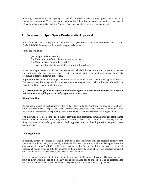Similarly, a corporation can't qualify its land if non-resident aliens, foreign governments, or both control the corporation. These owners are required by federal law to report ownership or transfers of agricultural land. §23.56(2) and (3), Property Tax Code, bars these owners from qualifying.

# <span id="page-12-0"></span>**Application for Open Space Productivity Appraisal**

Property owners must timely file an application for *Open Space Land Valuation* along with a *Texas Parks & Wildlife Management Plan* with the appraisal district.

Forms are available:

- (a) At appraisal district office
- (b) From the district's website www.ruskcadcad.org, or
- (c) From the State Comptroller's website: www.window.state.tx.us/taxinfo/taxforms/02-forms.html

If the initial application is valid but does not contain all the information the district needs to rule on an application, the chief appraiser may require the applicant to give additional information. This procedure is described later in this section.

A property owner may file a single application form covering all tracts within an appraisal district. Owners need not file a separate form for each tract as long as they provide sufficient information to show that all tracts qualify under the law.

## *If a person does not file a valid application before the appraisal review board approves the appraisal roll, the land is ineligible for productivity appraisal in that tax year.*

## <span id="page-12-1"></span>**Filing Deadline**

An application must be postmarked or filed no later than midnight, April 30. For good cause and only on the property owner's request, the chief appraiser may extend the filing deadline in individual cases for not more than 60 days. The property owner must request an extension before the filing deadline.

The Tax Code does not define "good cause." However, it is commonly something the applicant cannot control. Illness or injury or an inability to transact normal business for a period that effectively prevents filing on time is usually good cause. Each appraisal district should prescribe its good cause requirements.

## <span id="page-12-2"></span>**Late Application**

A property owner who misses the deadline may file a late application until the appraisal review board approves records for that year (normally mid-July). However, there is a penalty for late application. An application filed after April 30 is subject to a penalty equal to 10% of the difference between the tax if imposed at market value and the tax imposed at the productivity value. If the chief appraiser extended the deadline for that property owner, this penalty does not apply.

The chief appraiser must note the imposition of the penalty in the appraisal records. The property owner must be given written notice of the penalty and an explanation for its imposition. The tax assessor adds the penalty amount to the tax bill and collects the penalty along with the annual tax payment.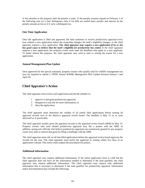A lien attaches to the property until the penalty is paid. If the penalty remains unpaid on February 1 of the following year (or a later delinquency date if tax bills are mailed late), penalty and interest on the penalty amount accrue as if it were a delinquent tax.

## <span id="page-13-0"></span>**One Time Application**

Once the application is filed and approved, the land continues to receive productivity appraisal every year without a new application unless the ownership changes, the land's eligibility changes, or the chief appraiser requires a new application. *The chief appraiser may require a new application if he or she has good cause to believe that the land's eligibility for productivity has ended.* If the chief appraiser requires a new application, the property owner must meet the deadlines that apply to a new applicant. To better inform the taxpayer, the chief appraiser may wish to state in writing the reason for a new application.

## <span id="page-13-1"></span>**Annual Management Plan Update**

Once approved for the special valuation, property owners who qualify land for wildlife management use may be required to submit a TPDW *Annual Wildlife Management Plan Update* between January 1 and April 30.

# <span id="page-13-2"></span>**Chief Appraiser's Action**

The chief appraiser must review each application and decide whether to:

- 1. approve it and grant productivity appraisal;
- 2. disapprove it and ask for more information; or
- 3. deny the application.

The chief appraiser must determine the validity of all timely filed applications before turning all appraisal records over to the district's appraisal review board. The deadline is May 15 or as soon afterward as is practicable.

The chief appraiser usually gives the appraisal records to the appraisal review board (ARB) by May 15. Property owners who were denied productivity appraisal may file a protest with the ARB. In addition, taxing unit officials who believe productivity appraisal was erroneously granted to any property owner may seek to remove that grant by filing a challenge with the ARB.

The chief appraiser must rule on all late-filed applications before the appraisal review board approves the records for the year. The chief appraiser must notify the applicant in writing within five days of an application's denial. This notice must explain the procedures for protest.

## <span id="page-13-3"></span>**Additional Information**

The chief appraiser may request additional information. If the initial application form is valid but the chief appraiser does not have all the information needed to determine if the land qualifies, the chief appraiser may request additional information. The chief appraiser may request only additional information that is necessary to determine if the land qualifies for productivity appraisal. Information and/or documentation may include the following: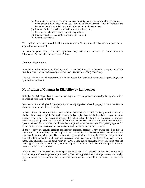- (a) Sworn statements from lessors of subject property, owners of surrounding properties, or other person's knowledge of ag use. Statements should describe how the property has been used and the period of time used. Statements should be notarized.
- (b) Invoices for feed, veterinarian services, seed, fertilizer, etc.,
- (c) Receipts for sale of livestock, hay or farm products,
- (d) Income tax return showing farm income (Schedule F),
- (e) Current active lease.

The applicant must provide additional information within 30 days after the date of the request or the application will be denied.

If there is good cause, the chief appraiser may extend the deadline to allow additional information. An extension cannot exceed 15 days.

## <span id="page-14-0"></span>**Denial of Application**

If a chief appraiser denies an application, a notice of the denial must be delivered to the applicant within five days. This notice must be sent by certified mail (See Section 1.07(d), Tax Code).

<span id="page-14-1"></span>The notice from the chief appraiser will include a reason for denial and procedures for protesting to the appraisal review board.

## **Notification of Changes in Eligibility by Landowner**

If the land's eligibility ends or its ownership changes, the property owner must notify the appraisal office in writing before the next May 1.

New owners are not eligible for open-space productivity appraisal unless they apply. If the owner fails to do so, one or more penalties will apply.

If the land remains under the same ownership and the owner fails to inform the appraisal district that the land is no longer eligible for productivity appraisal, either because the land is no longer in openspace use or because the degree of intensity has fallen below that typical for the area, the property owner must pay a penalty equal to 10% of the difference between the taxes imposed under the openspace use and the taxes that would have been imposed under the new use. This penalty applies for each year the property received the incorrect appraisal, but for no more than five years.

If the property erroneously receives productivity appraisal because a new owner failed to file an application or other reason, the chief appraiser must calculate the difference between the land's market value and its productivity value. The owner must pay taxes and penalties on the difference between these values for the time that the land erroneously received productivity appraisal, plus a 10% penalty on these taxes. This additional tax and penalty may not cover a time period exceeding five years. In the year the chief appraiser discovers the change, the chief appraiser should add this value to the appraisal roll as property omitted in a prior year.

When a penalty is imposed, the chief appraiser must notify the property owner. This notice must explain the procedures for protesting the penalty. The chief appraiser notes the imposition of the penalty in the appraisal records, and the tax assessor adds the amount of the penalty to the property's annual tax bill.